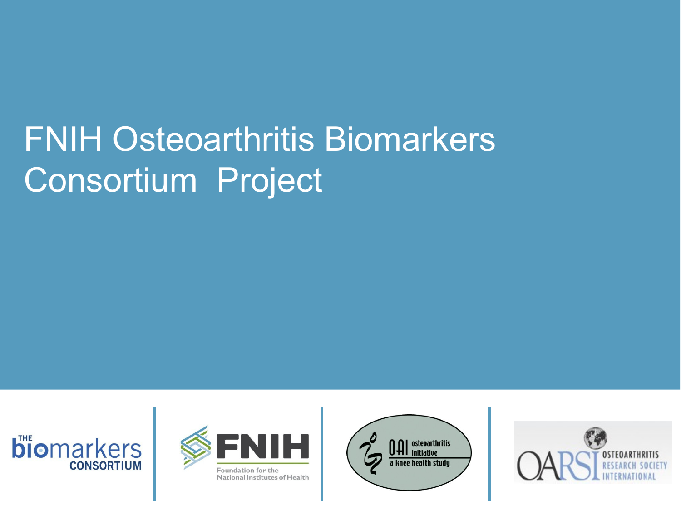# FNIH Osteoarthritis Biomarkers Consortium Project







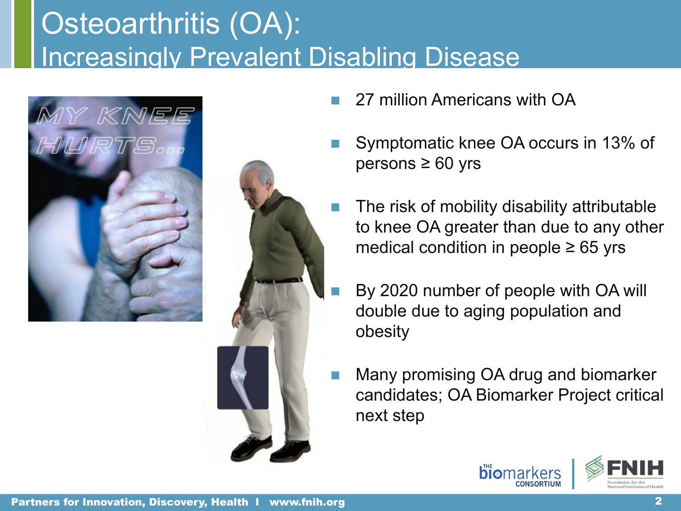## Osteoarthritis (OA): Increasingly Prevalent Disabling Disease





- 27 million Americans with OA
- Symptomatic knee OA occurs in 13% of  $persons \geq 60$  yrs
	- The risk of mobility disability attributable to knee OA greater than due to any other medical condition in people  $\geq 65$  yrs
	- By 2020 number of people with OA will double due to aging population and obesity
- Many promising OA drug and biomarker candidates; OA Biomarker Project critical next step

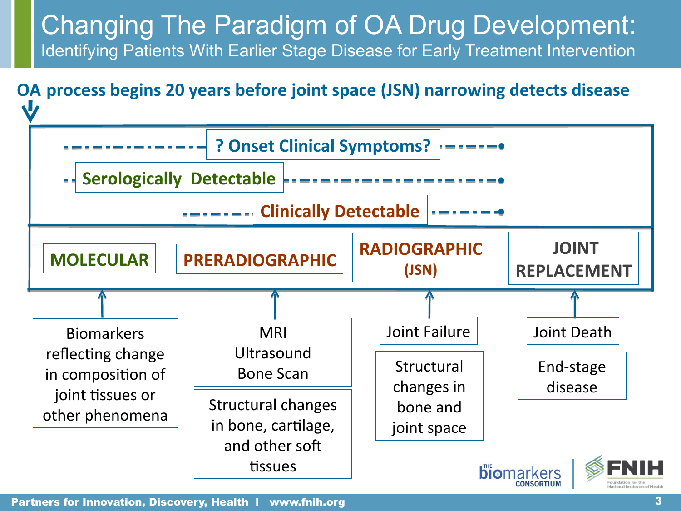### Changing The Paradigm of OA Drug Development: Identifying Patients With Earlier Stage Disease for Early Treatment Intervention

### **OA process begins 20 years before joint space (JSN) narrowing detects disease**



Partners for Innovation, Discovery, Health l www.fnih.org 3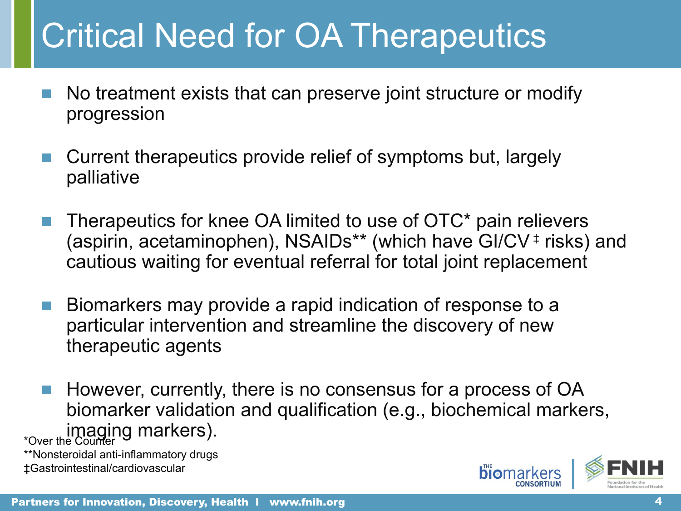## Critical Need for OA Therapeutics

- No treatment exists that can preserve joint structure or modify progression
- Current therapeutics provide relief of symptoms but, largely palliative
- Therapeutics for knee OA limited to use of OTC\* pain relievers (aspirin, acetaminophen), NSAIDs\*\* (which have GI/CV ‡ risks) and cautious waiting for eventual referral for total joint replacement
- Biomarkers may provide a rapid indication of response to a particular intervention and streamline the discovery of new therapeutic agents
- However, currently, there is no consensus for a process of OA biomarker validation and qualification (e.g., biochemical markers, to imaging markers).

\*\*Nonsteroidal anti-inflammatory drugs ‡Gastrointestinal/cardiovascular

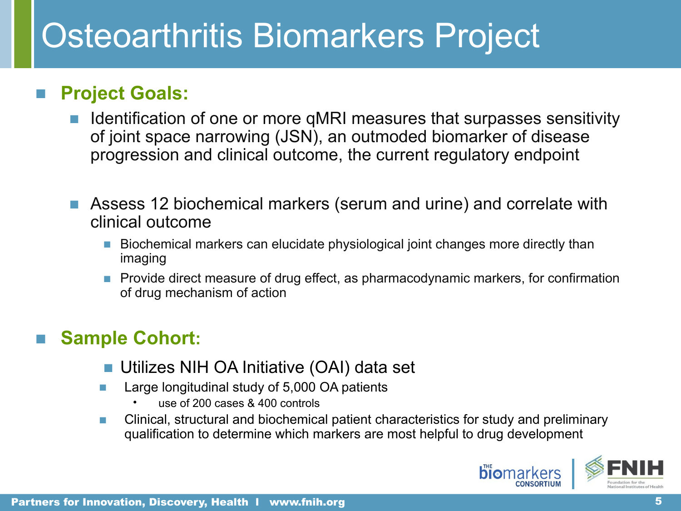## Osteoarthritis Biomarkers Project

### ■ **Project Goals:**

- Identification of one or more qMRI measures that surpasses sensitivity of joint space narrowing (JSN), an outmoded biomarker of disease progression and clinical outcome, the current regulatory endpoint
- Assess 12 biochemical markers (serum and urine) and correlate with clinical outcome
	- Biochemical markers can elucidate physiological joint changes more directly than imaging
	- Provide direct measure of drug effect, as pharmacodynamic markers, for confirmation of drug mechanism of action

### ■ **Sample Cohort:**

- Utilizes NIH OA Initiative (OAI) data set
- Large longitudinal study of 5,000 OA patients
	- use of 200 cases & 400 controls
- Clinical, structural and biochemical patient characteristics for study and preliminary qualification to determine which markers are most helpful to drug development

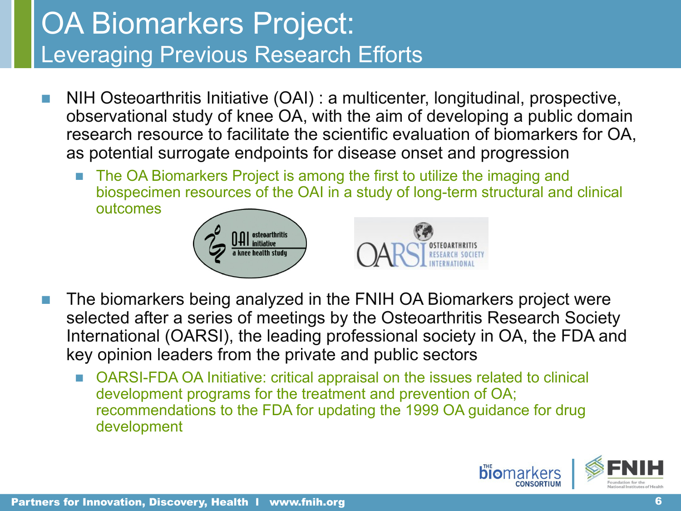## OA Biomarkers Project: Leveraging Previous Research Efforts

- NIH Osteoarthritis Initiative (OAI) : a multicenter, longitudinal, prospective, observational study of knee OA, with the aim of developing a public domain research resource to facilitate the scientific evaluation of biomarkers for OA, as potential surrogate endpoints for disease onset and progression
	- The OA Biomarkers Project is among the first to utilize the imaging and biospecimen resources of the OAI in a study of long-term structural and clinical outcomes



- The biomarkers being analyzed in the FNIH OA Biomarkers project were selected after a series of meetings by the Osteoarthritis Research Society International (OARSI), the leading professional society in OA, the FDA and key opinion leaders from the private and public sectors
	- OARSI-FDA OA Initiative: critical appraisal on the issues related to clinical development programs for the treatment and prevention of OA; recommendations to the FDA for updating the 1999 OA guidance for drug development

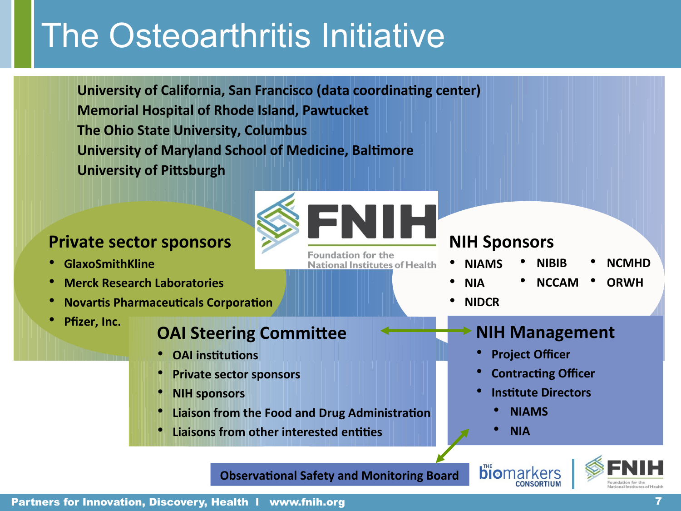# The Osteoarthritis Initiative

**University of California, San Francisco (data coordinating center) Memorial Hospital of Rhode Island, Pawtucket The Ohio State University, Columbus University of Maryland School of Medicine, Baltimore University of Pittsburgh** 

#### **Private sector sponsors**

- • **GlaxoSmithKline**
- • **Merck Research Laboratories**
- • **Novartis Pharmaceuticals Corporation**
- • **Pfizer, Inc.**

### **OAI Steering Committee**

- • **OAI institutions**
- • **Private sector sponsors**
- • **NIH sponsors**
- • **Liaison from the Food and Drug Administration**
- • **Liaisons from other interested entities**

### **NIH Sponsors**

- • **NIAMS**
- **NIBIB**  • **NCMHD**
- • **NIA** • **NCCAM**
- **ORWH**

• **NIDCR**

#### **NIH Management**

- • **Project Officer**
- • **Contracting Officer**
- • **Institute Directors**
	- **NIAMS**

**biomarkers** 

• **NIA**

**Observational Safety and Monitoring Board**

**Foundation for the** 

**National Institutes of Health** 

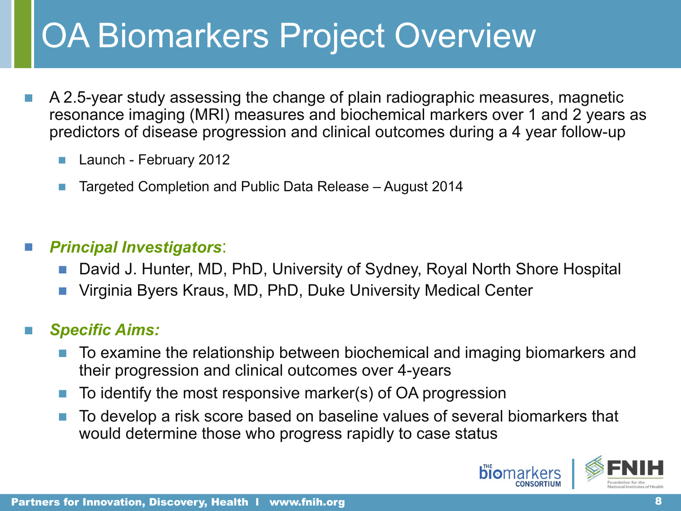# OA Biomarkers Project Overview

- A 2.5-year study assessing the change of plain radiographic measures, magnetic resonance imaging (MRI) measures and biochemical markers over 1 and 2 years as predictors of disease progression and clinical outcomes during a 4 year follow-up
	- Launch February 2012
	- Targeted Completion and Public Data Release August 2014

### ■ *Principal Investigators*:

- David J. Hunter, MD, PhD, University of Sydney, Royal North Shore Hospital
- Virginia Byers Kraus, MD, PhD, Duke University Medical Center

### ■ *Specific Aims:*

- To examine the relationship between biochemical and imaging biomarkers and their progression and clinical outcomes over 4-years
- To identify the most responsive marker(s) of OA progression
- To develop a risk score based on baseline values of several biomarkers that would determine those who progress rapidly to case status

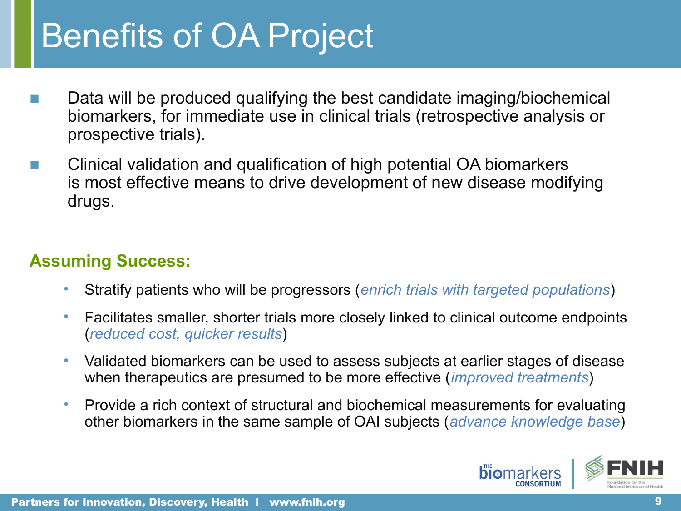## Benefits of OA Project

- Data will be produced qualifying the best candidate imaging/biochemical biomarkers, for immediate use in clinical trials (retrospective analysis or prospective trials).
- Clinical validation and qualification of high potential OA biomarkers is most effective means to drive development of new disease modifying drugs.

### **Assuming Success:**

- Stratify patients who will be progressors (*enrich trials with targeted populations*)
- Facilitates smaller, shorter trials more closely linked to clinical outcome endpoints (*reduced cost, quicker results*)
- Validated biomarkers can be used to assess subjects at earlier stages of disease when therapeutics are presumed to be more effective (*improved treatments*)
- Provide a rich context of structural and biochemical measurements for evaluating other biomarkers in the same sample of OAI subjects (*advance knowledge base*)

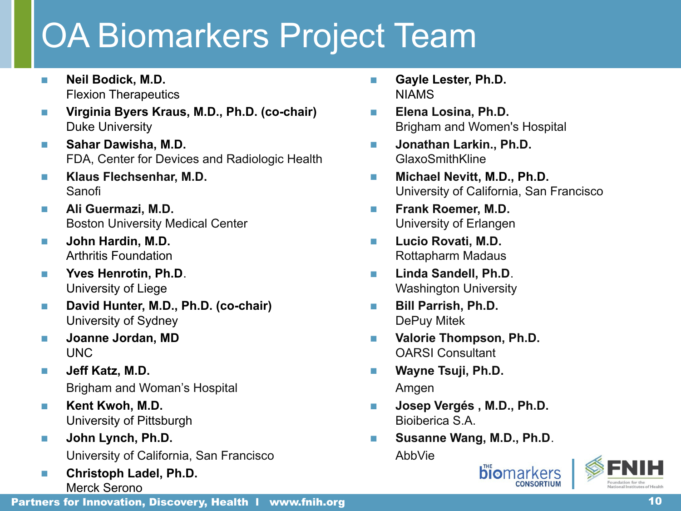# OA Biomarkers Project Team

- **Neil Bodick, M.D.** Flexion Therapeutics
- **Virginia Byers Kraus, M.D., Ph.D. (co-chair)** Duke University
- **Sahar Dawisha, M.D.** FDA, Center for Devices and Radiologic Health
- **Klaus Flechsenhar, M.D.** Sanofi
- **Ali Guermazi, M.D.** Boston University Medical Center
- **John Hardin, M.D.** Arthritis Foundation
- **Yves Henrotin, Ph.D.** University of Liege
- **David Hunter, M.D., Ph.D. (co-chair)** University of Sydney
- **Joanne Jordan, MD** UNC
- **Jeff Katz, M.D.** Brigham and Woman's Hospital
- **Kent Kwoh, M.D.** University of Pittsburgh
- **John Lynch, Ph.D.** University of California, San Francisco
- **Christoph Ladel, Ph.D.** Merck Serono
- **Gayle Lester, Ph.D.** NIAMS
- **Elena Losina, Ph.D.** Brigham and Women's Hospital
- Jonathan Larkin., Ph.D. GlaxoSmithKline
- **Michael Nevitt, M.D., Ph.D.**  University of California, San Francisco
- **Frank Roemer, M.D.** University of Erlangen
- **Lucio Rovati, M.D.** Rottapharm Madaus
- **Linda Sandell, Ph.D**. Washington University
- **Bill Parrish, Ph.D.** DePuy Mitek
- **Valorie Thompson, Ph.D.** OARSI Consultant
- **Wayne Tsuji, Ph.D.** Amgen
- **Josep Vergés , M.D., Ph.D.** Bioiberica S.A.
- Susanne Wang, M.D., Ph.D. AbbVie

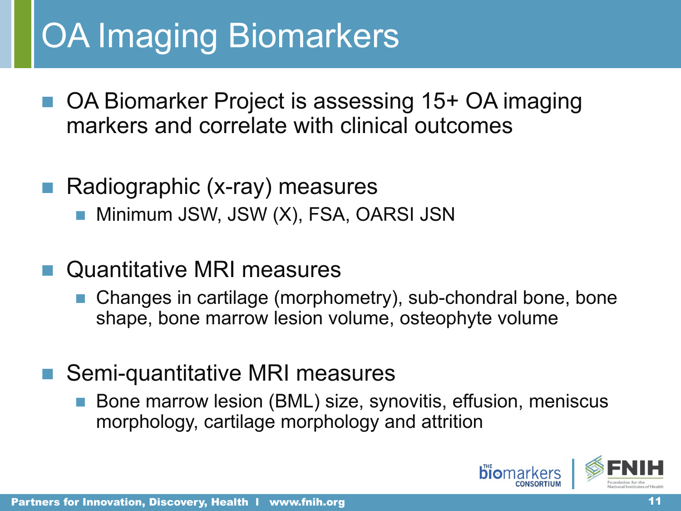# OA Imaging Biomarkers

- OA Biomarker Project is assessing 15+ OA imaging markers and correlate with clinical outcomes
- Radiographic (x-ray) measures
	- Minimum JSW, JSW (X), FSA, OARSI JSN
- Quantitative MRI measures
	- Changes in cartilage (morphometry), sub-chondral bone, bone shape, bone marrow lesion volume, osteophyte volume
- Semi-quantitative MRI measures
	- Bone marrow lesion (BML) size, synovitis, effusion, meniscus morphology, cartilage morphology and attrition

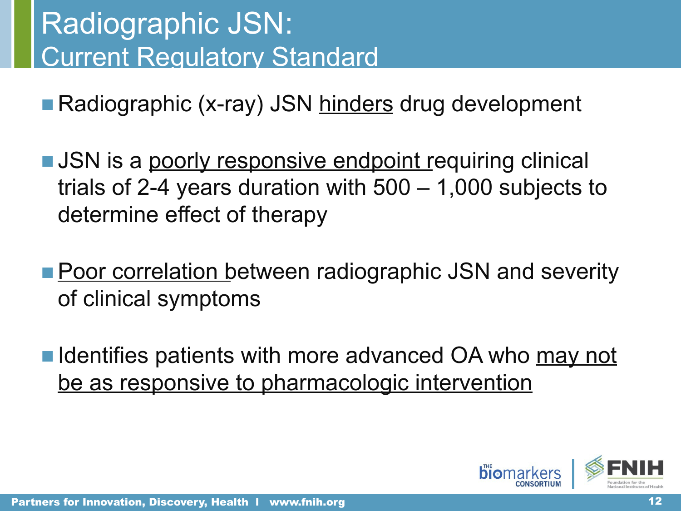## Radiographic JSN: Current Regulatory Standard

■ Radiographic (x-ray) JSN hinders drug development

- JSN is a poorly responsive endpoint requiring clinical trials of 2-4 years duration with 500 – 1,000 subjects to determine effect of therapy
- Poor correlation between radiographic JSN and severity of clinical symptoms
- Identifies patients with more advanced OA who may not be as responsive to pharmacologic intervention

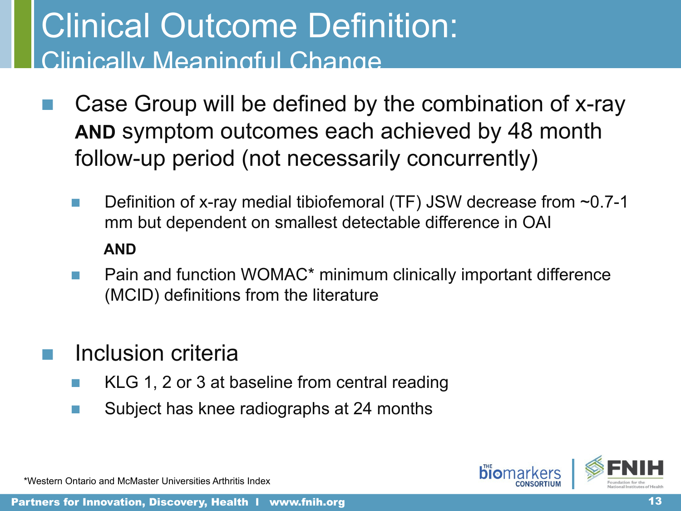## Clinical Outcome Definition: Clinically Meaningful Change

- Case Group will be defined by the combination of x-ray **AND** symptom outcomes each achieved by 48 month follow-up period (not necessarily concurrently)
	- Definition of x-ray medial tibiofemoral (TF) JSW decrease from  $\sim 0.7$ -1 mm but dependent on smallest detectable difference in OAI  **AND**
	- Pain and function WOMAC\* minimum clinically important difference (MCID) definitions from the literature
- Inclusion criteria
	- KLG 1, 2 or 3 at baseline from central reading
	- Subject has knee radiographs at 24 months



\*Western Ontario and McMaster Universities Arthritis Index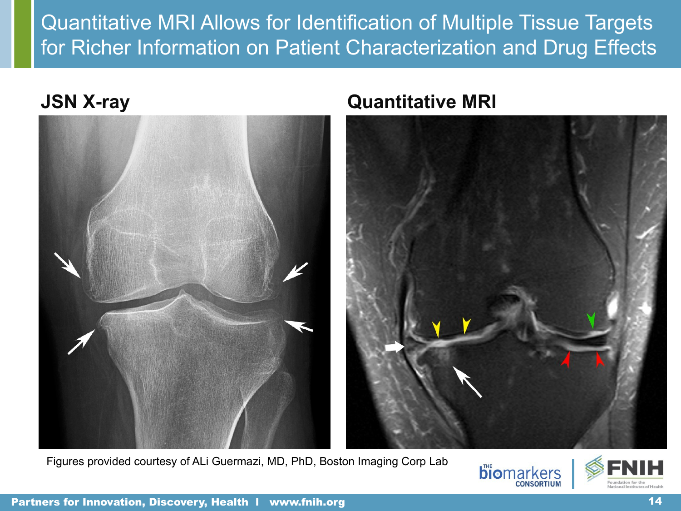Quantitative MRI Allows for Identification of Multiple Tissue Targets for Richer Information on Patient Characterization and Drug Effects



### **JSN X-ray Quantitative MRI**



Figures provided courtesy of ALi Guermazi, MD, PhD, Boston Imaging Corp Lab





Partners for Innovation, Discovery, Health 1 www.fnih.org 14 14 14 14 15 16 17 17 18 17 18 17 18 17 18 17 18 1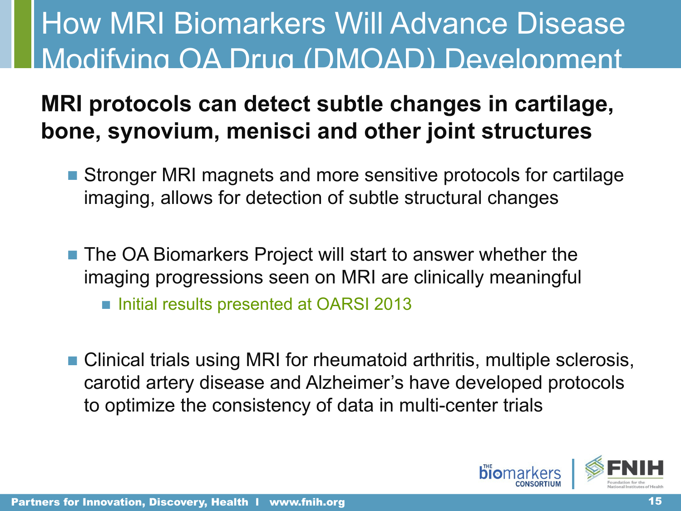## How MRI Biomarkers Will Advance Disease Modifying OA Drug (DMOAD) Development

### **MRI protocols can detect subtle changes in cartilage, bone, synovium, menisci and other joint structures**

- Stronger MRI magnets and more sensitive protocols for cartilage imaging, allows for detection of subtle structural changes
- The OA Biomarkers Project will start to answer whether the imaging progressions seen on MRI are clinically meaningful ■ Initial results presented at OARSI 2013
- Clinical trials using MRI for rheumatoid arthritis, multiple sclerosis, carotid artery disease and Alzheimer's have developed protocols to optimize the consistency of data in multi-center trials

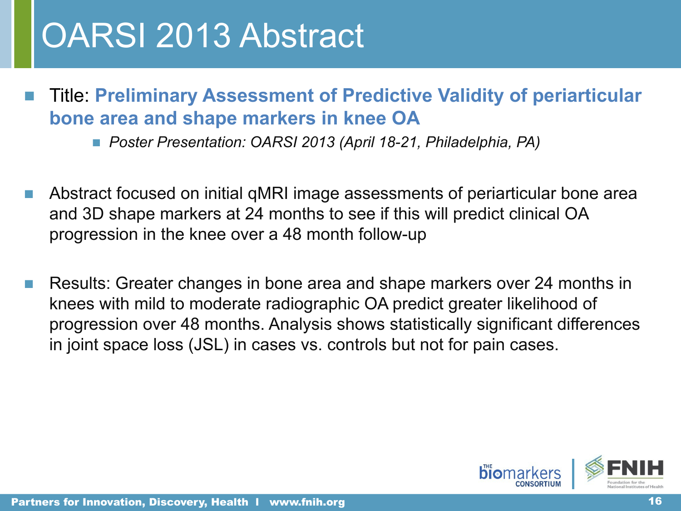## OARSI 2013 Abstract

- Title: **Preliminary Assessment of Predictive Validity of periarticular bone area and shape markers in knee OA**
	- *Poster Presentation: OARSI 2013 (April 18-21, Philadelphia, PA)*
- Abstract focused on initial gMRI image assessments of periarticular bone area and 3D shape markers at 24 months to see if this will predict clinical OA progression in the knee over a 48 month follow-up
- Results: Greater changes in bone area and shape markers over 24 months in knees with mild to moderate radiographic OA predict greater likelihood of progression over 48 months. Analysis shows statistically significant differences in joint space loss (JSL) in cases vs. controls but not for pain cases.

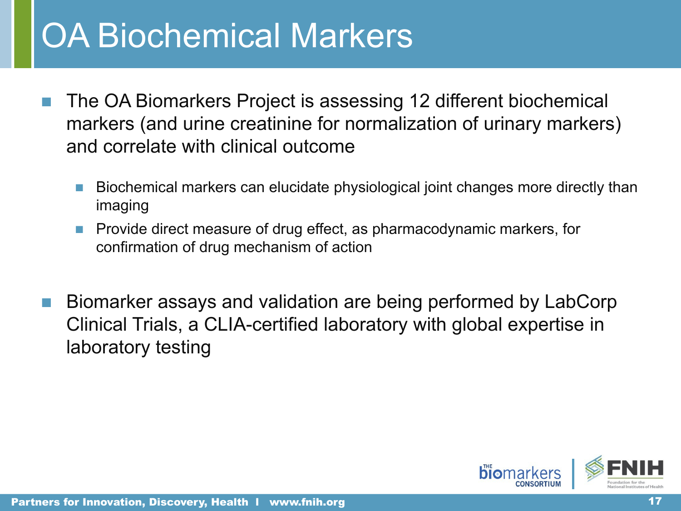## OA Biochemical Markers

- The OA Biomarkers Project is assessing 12 different biochemical markers (and urine creatinine for normalization of urinary markers) and correlate with clinical outcome
	- Biochemical markers can elucidate physiological joint changes more directly than imaging
	- Provide direct measure of drug effect, as pharmacodynamic markers, for confirmation of drug mechanism of action
- Biomarker assays and validation are being performed by LabCorp Clinical Trials, a CLIA-certified laboratory with global expertise in laboratory testing

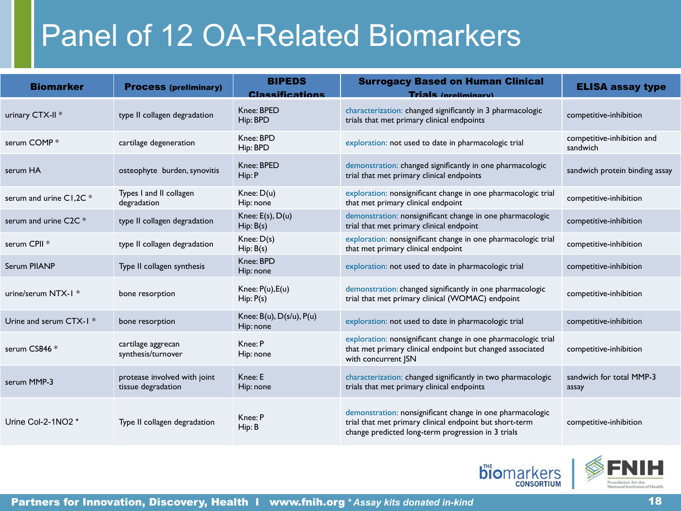## Panel of 12 OA-Related Biomarkers

| <b>Biomarker</b>                   | <b>Process (preliminary)</b>                       | <b>BIPEDS</b><br><b>Classifications</b>       | <b>Surrogacy Based on Human Clinical</b><br><b>Trials</b> (proliminary)                                                                                                    | <b>ELISA assay type</b>                |
|------------------------------------|----------------------------------------------------|-----------------------------------------------|----------------------------------------------------------------------------------------------------------------------------------------------------------------------------|----------------------------------------|
| urinary CTX-II <sup>*</sup>        | type II collagen degradation                       | Knee: BPED<br>Hip: BPD                        | characterization: changed significantly in 3 pharmacologic<br>trials that met primary clinical endpoints                                                                   | competitive-inhibition                 |
| serum COMP*                        | cartilage degeneration                             | Knee: BPD<br>Hip: BPD                         | exploration: not used to date in pharmacologic trial                                                                                                                       | competitive-inhibition and<br>sandwich |
| serum HA                           | osteophyte burden, synovitis                       | Knee: BPED<br>Hip: P                          | demonstration: changed significantly in one pharmacologic<br>trial that met primary clinical endpoints                                                                     | sandwich protein binding assay         |
| serum and urine C1,2C *            | Types I and II collagen<br>degradation             | Knee: $D(u)$<br>Hip: none                     | exploration: nonsignificant change in one pharmacologic trial<br>that met primary clinical endpoint                                                                        | competitive-inhibition                 |
| serum and urine $C2C$ <sup>*</sup> | type II collagen degradation                       | Knee: $E(s)$ , $D(u)$<br>Hip: B(s)            | demonstration: nonsignificant change in one pharmacologic<br>trial that met primary clinical endpoint                                                                      | competitive-inhibition                 |
| serum CPII *                       | type II collagen degradation                       | Knee: D(s)<br>Hip: B(s)                       | exploration: nonsignificant change in one pharmacologic trial<br>that met primary clinical endpoint                                                                        | competitive-inhibition                 |
| Serum PIIANP                       | Type II collagen synthesis                         | Knee: BPD<br>Hip: none                        | exploration: not used to date in pharmacologic trial                                                                                                                       | competitive-inhibition                 |
| urine/serum NTX-1 *                | bone resorption                                    | Knee: $P(u)$ , $E(u)$<br>Hip: P(s)            | demonstration: changed significantly in one pharmacologic<br>trial that met primary clinical (WOMAC) endpoint                                                              | competitive-inhibition                 |
| Urine and serum CTX-1 *            | bone resorption                                    | Knee: $B(u)$ , $D(s/u)$ , $P(u)$<br>Hip: none | exploration: not used to date in pharmacologic trial                                                                                                                       | competitive-inhibition                 |
| serum CS846 *                      | cartilage aggrecan<br>synthesis/turnover           | Knee: P<br>Hip: none                          | exploration: nonsignificant change in one pharmacologic trial<br>that met primary clinical endpoint but changed associated<br>with concurrent JSN                          | competitive-inhibition                 |
| serum MMP-3                        | protease involved with joint<br>tissue degradation | Knee: E<br>Hip: none                          | characterization: changed significantly in two pharmacologic<br>trials that met primary clinical endpoints                                                                 | sandwich for total MMP-3<br>assay      |
| Urine Col-2-1NO2 *                 | Type II collagen degradation                       | Knee: P<br>Hip: B                             | demonstration: nonsignificant change in one pharmacologic<br>trial that met primary clinical endpoint but short-term<br>change predicted long-term progression in 3 trials | competitive-inhibition                 |



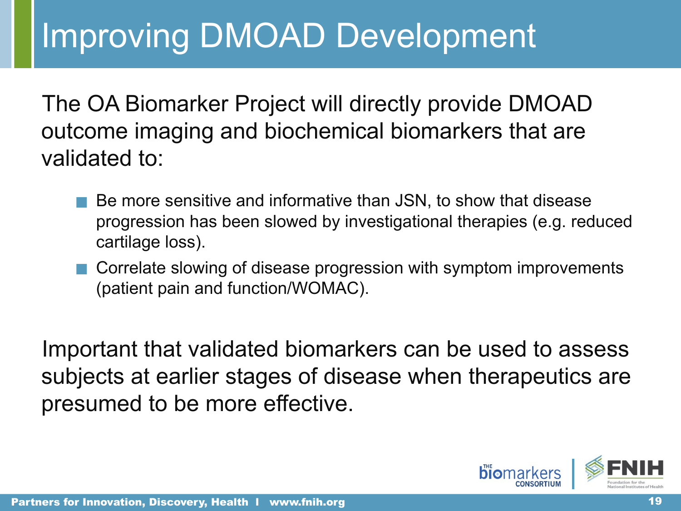## Improving DMOAD Development

The OA Biomarker Project will directly provide DMOAD outcome imaging and biochemical biomarkers that are validated to:

- Be more sensitive and informative than JSN, to show that disease progression has been slowed by investigational therapies (e.g. reduced cartilage loss).
- Correlate slowing of disease progression with symptom improvements (patient pain and function/WOMAC).

Important that validated biomarkers can be used to assess subjects at earlier stages of disease when therapeutics are presumed to be more effective.

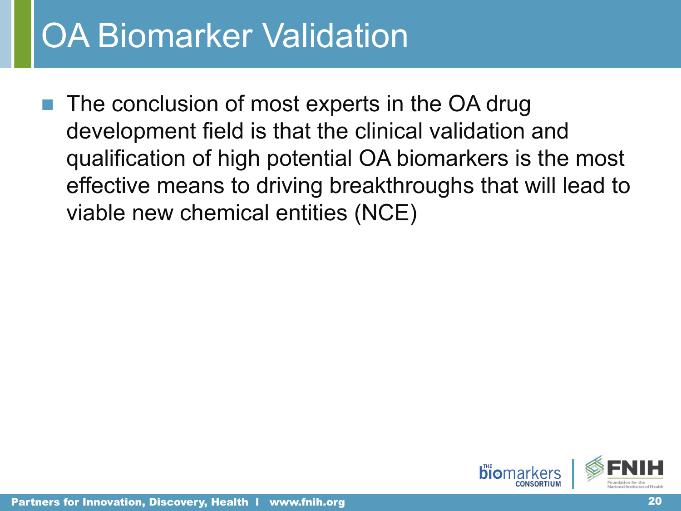## **OA Biomarker Validation**

The conclusion of most experts in the OA drug development field is that the clinical validation and qualification of high potential OA biomarkers is the most effective means to driving breakthroughs that will lead to viable new chemical entities (NCE)

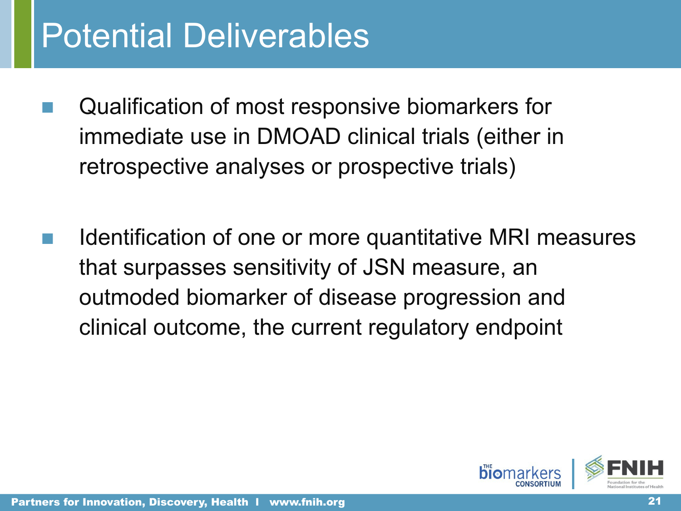## Potential Deliverables

- Qualification of most responsive biomarkers for immediate use in DMOAD clinical trials (either in retrospective analyses or prospective trials)
	- Identification of one or more quantitative MRI measures that surpasses sensitivity of JSN measure, an outmoded biomarker of disease progression and clinical outcome, the current regulatory endpoint

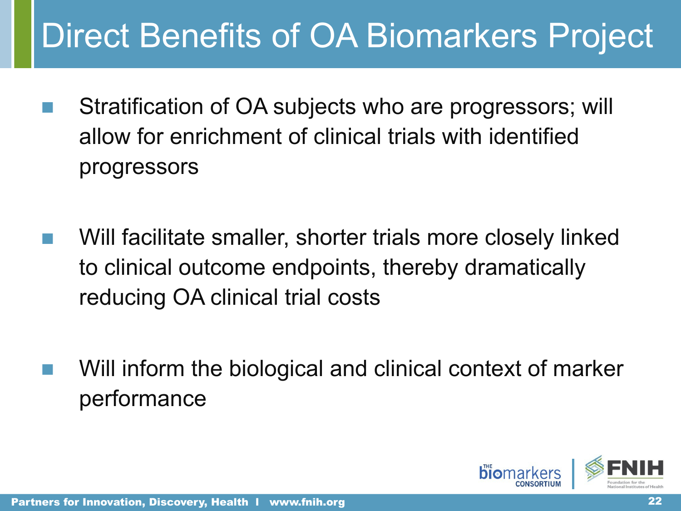# Direct Benefits of OA Biomarkers Project

- Stratification of OA subjects who are progressors; will allow for enrichment of clinical trials with identified progressors
	- Will facilitate smaller, shorter trials more closely linked to clinical outcome endpoints, thereby dramatically reducing OA clinical trial costs
- Will inform the biological and clinical context of marker performance

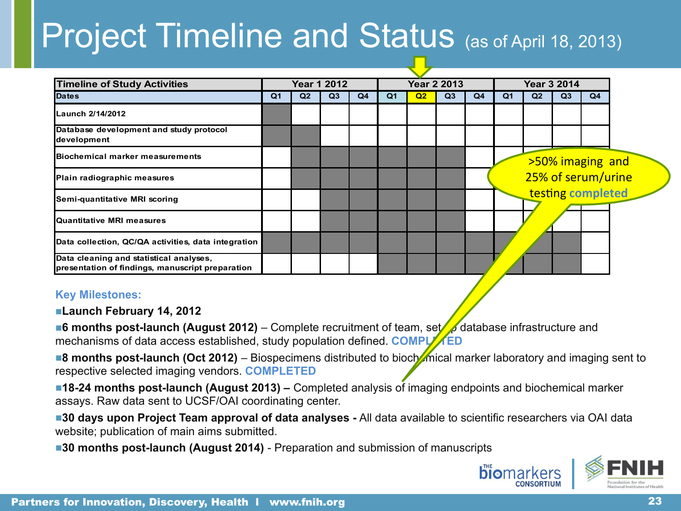# Project Timeline and Status (as of April 18, 2013)

|                                                     | <b>Year 1 2012</b> |    |                | <b>Year 2 2013</b> |    |    | <b>Year 3 2014</b> |                |    |    |    |                                                             |
|-----------------------------------------------------|--------------------|----|----------------|--------------------|----|----|--------------------|----------------|----|----|----|-------------------------------------------------------------|
| Q <sub>1</sub>                                      | Q <sub>2</sub>     | Q3 | Q <sub>4</sub> | Q <sub>1</sub>     | Q2 | Q3 | Q4                 | Q <sub>1</sub> | Q2 | Q3 | Q4 |                                                             |
|                                                     |                    |    |                |                    |    |    |                    |                |    |    |    |                                                             |
|                                                     |                    |    |                |                    |    |    |                    |                |    |    |    |                                                             |
|                                                     |                    |    |                |                    |    |    |                    |                |    |    |    |                                                             |
|                                                     |                    |    |                |                    |    |    |                    |                |    |    |    |                                                             |
|                                                     |                    |    |                |                    |    |    |                    |                |    |    |    |                                                             |
|                                                     |                    |    |                |                    |    |    |                    |                |    |    |    |                                                             |
| Data collection, QC/QA activities, data integration |                    |    |                |                    |    |    |                    |                |    |    |    |                                                             |
|                                                     |                    |    |                |                    |    |    |                    |                |    |    |    |                                                             |
|                                                     |                    |    |                |                    |    |    |                    |                |    |    |    | >50% imaging and<br>25% of serum/urine<br>testing completed |

#### **Key Milestones:**

■**Launch February 14, 2012**

■**6 months post-launch (August 2012)** – Complete recruitment of team, set database infrastructure and mechanisms of data access established, study population defined. **COMPLATED** 

■**8 months post-launch (Oct 2012)** – Biospecimens distributed to bioch**emical marker laboratory and imaging sent to** respective selected imaging vendors. **COMPLETED**

■**18-24 months post-launch (August 2013)** – Completed analysis of imaging endpoints and biochemical marker assays. Raw data sent to UCSF/OAI coordinating center.

■**30 days upon Project Team approval of data analyses** - All data available to scientific researchers via OAI data website; publication of main aims submitted.

■**30 months post-launch (August 2014)** - Preparation and submission of manuscripts



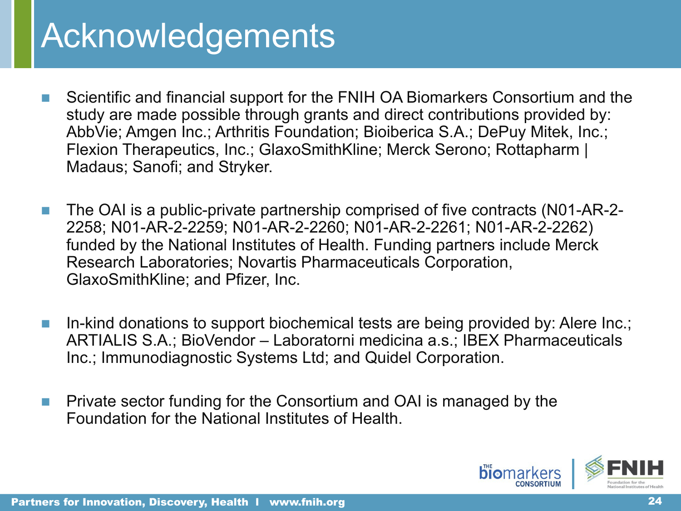## Acknowledgements

- Scientific and financial support for the FNIH OA Biomarkers Consortium and the study are made possible through grants and direct contributions provided by: AbbVie; Amgen Inc.; Arthritis Foundation; Bioiberica S.A.; DePuy Mitek, Inc.; Flexion Therapeutics, Inc.; GlaxoSmithKline; Merck Serono; Rottapharm | Madaus; Sanofi; and Stryker.
- The OAI is a public-private partnership comprised of five contracts (N01-AR-2-2258; N01-AR-2-2259; N01-AR-2-2260; N01-AR-2-2261; N01-AR-2-2262) funded by the National Institutes of Health. Funding partners include Merck Research Laboratories; Novartis Pharmaceuticals Corporation, GlaxoSmithKline; and Pfizer, Inc.
- In-kind donations to support biochemical tests are being provided by: Alere Inc.; ARTIALIS S.A.; BioVendor – Laboratorni medicina a.s.; IBEX Pharmaceuticals Inc.; Immunodiagnostic Systems Ltd; and Quidel Corporation.
- Private sector funding for the Consortium and OAI is managed by the Foundation for the National Institutes of Health.